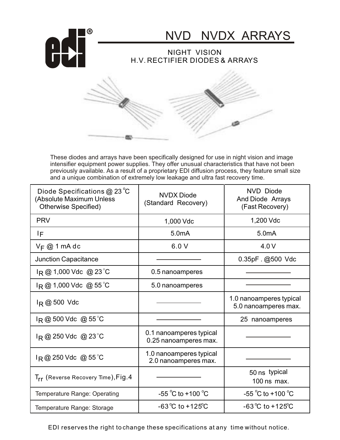

These diodes and arrays have been specifically designed for use in night vision and image intensifier equipment power supplies. They offer unusual characteristics that have not been previously available. As a result of a proprietary EDI diffusion process, they feature small size and a unique combination of extremely low leakage and ultra fast recovery time.

| Diode Specifications $@$ 23 °C<br>(Absolute Maximum Unless<br>Otherwise Specified) | <b>NVDX Diode</b><br>(Standard Recovery)         | <b>NVD</b> Diode<br>And Diode Arrays<br>(Fast Recovery) |
|------------------------------------------------------------------------------------|--------------------------------------------------|---------------------------------------------------------|
| <b>PRV</b>                                                                         | 1,000 Vdc                                        | 1,200 Vdc                                               |
| IF                                                                                 | 5.0mA                                            | 5.0 <sub>m</sub> A                                      |
| $V_F @ 1$ mA dc                                                                    | 6.0V                                             | 4.0V                                                    |
| <b>Junction Capacitance</b>                                                        |                                                  | $0.35pF.$ @500 Vdc                                      |
| $I_R @ 1,000$ Vdc @ 23 °C                                                          | 0.5 nanoamperes                                  |                                                         |
| $I_R @ 1,000$ Vdc @ 55 °C                                                          | 5.0 nanoamperes                                  |                                                         |
| $I_R @ 500$ Vdc                                                                    |                                                  | 1.0 nanoamperes typical<br>5.0 nanoamperes max.         |
| $I_R @ 500$ Vdc @ 55 °C                                                            |                                                  | 25 nanoamperes                                          |
| $I_R @ 250$ Vdc @ 23 °C                                                            | 0.1 nanoamperes typical<br>0.25 nanoamperes max. |                                                         |
| $I_R @ 250$ Vdc @ 55 °C                                                            | 1.0 nanoamperes typical<br>2.0 nanoamperes max.  |                                                         |
| $\mathsf{T}_{\mathsf{rr}}$ (Reverse Recovery Time), $\mathsf{Fig}.4$               |                                                  | 50 ns typical<br>100 ns max.                            |
| Temperature Range: Operating                                                       | $-55^{\circ}$ C to +100 $^{\circ}$ C             | $-55^{\circ}$ C to +100 $^{\circ}$ C                    |
| Temperature Range: Storage                                                         | $-63^{\circ}$ C to $+125^{\circ}$ C              | $-63^{\circ}$ C to $+125^{\circ}$ C                     |

EDI reserves the right to change these specifications at any time without notice.